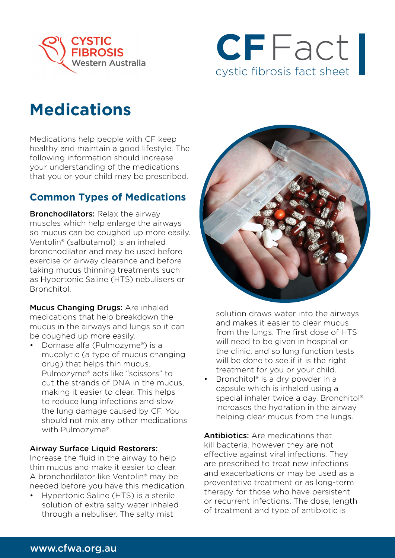



## **Medications**

Medications help people with CF keep healthy and maintain a good lifestyle. The following information should increase your understanding of the medications that you or your child may be prescribed.

## **Common Types of Medications**

**Bronchodilators: Relax the airway** muscles which help enlarge the airways so mucus can be coughed up more easily. Ventolin® (salbutamol) is an inhaled bronchodilator and may be used before exercise or airway clearance and before taking mucus thinning treatments such as Hypertonic Saline (HTS) nebulisers or Bronchitol.

Mucus Changing Drugs: Are inhaled medications that help breakdown the mucus in the airways and lungs so it can be coughed up more easily.

• Dornase alfa (Pulmozyme®) is a mucolytic (a type of mucus changing drug) that helps thin mucus. Pulmozyme® acts like "scissors" to cut the strands of DNA in the mucus, making it easier to clear. This helps to reduce lung infections and slow the lung damage caused by CF. You should not mix any other medications with Pulmozyme®.

## Airway Surface Liquid Restorers:

Increase the fluid in the airway to help thin mucus and make it easier to clear. A bronchodilator like Ventolin® may be needed before you have this medication.

• Hypertonic Saline (HTS) is a sterile solution of extra salty water inhaled through a nebuliser. The salty mist



solution draws water into the airways and makes it easier to clear mucus from the lungs. The first dose of HTS will need to be given in hospital or the clinic, and so lung function tests will be done to see if it is the right treatment for you or your child.

Bronchitol® is a dry powder in a capsule which is inhaled using a special inhaler twice a day. Bronchitol® increases the hydration in the airway helping clear mucus from the lungs.

Antibiotics: Are medications that kill bacteria, however they are not effective against viral infections. They are prescribed to treat new infections and exacerbations or may be used as a preventative treatment or as long-term therapy for those who have persistent or recurrent infections. The dose, length of treatment and type of antibiotic is